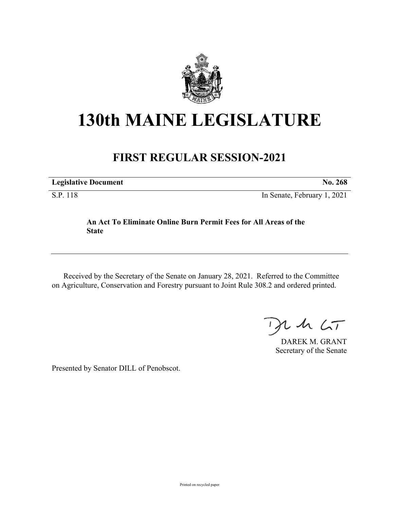

## **130th MAINE LEGISLATURE**

## **FIRST REGULAR SESSION-2021**

**Legislative Document No. 268**

S.P. 118 In Senate, February 1, 2021

## **An Act To Eliminate Online Burn Permit Fees for All Areas of the State**

Received by the Secretary of the Senate on January 28, 2021. Referred to the Committee on Agriculture, Conservation and Forestry pursuant to Joint Rule 308.2 and ordered printed.

 $125$ 

DAREK M. GRANT Secretary of the Senate

Presented by Senator DILL of Penobscot.